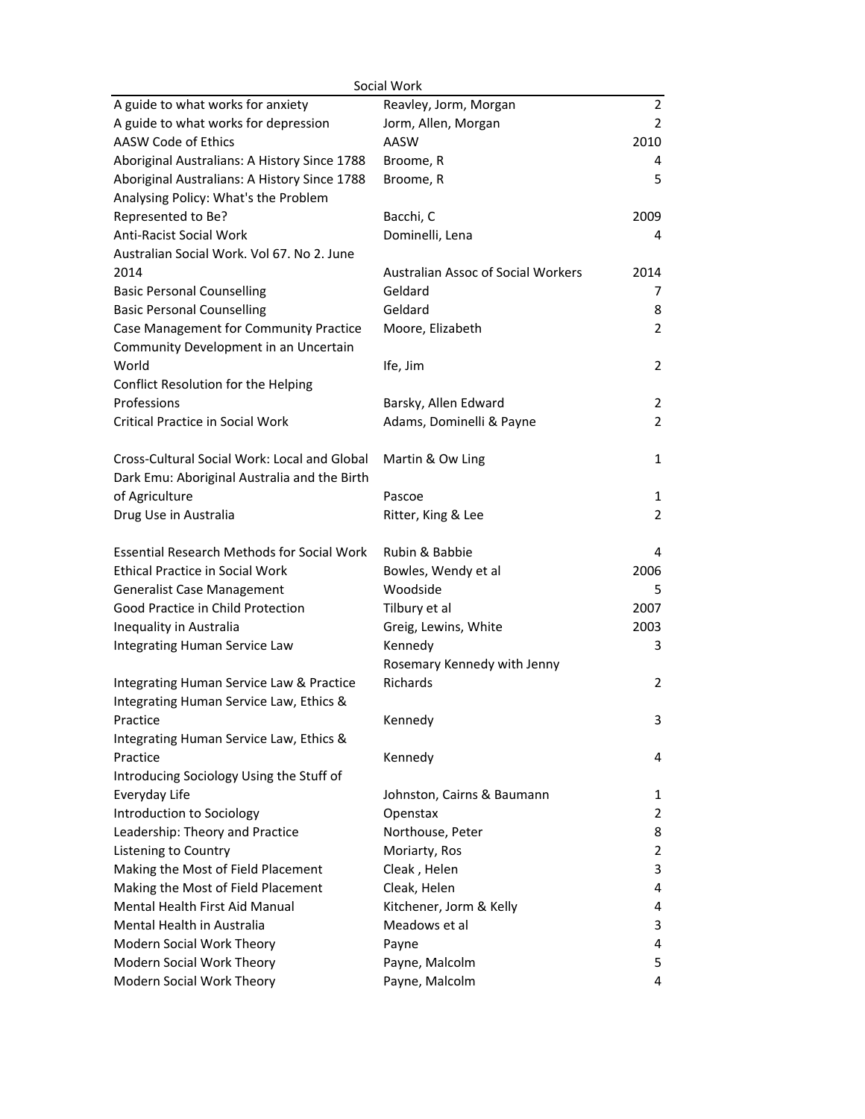| Social Work                                                                     |                                    |                |  |  |
|---------------------------------------------------------------------------------|------------------------------------|----------------|--|--|
| A guide to what works for anxiety                                               | Reavley, Jorm, Morgan              | $\overline{2}$ |  |  |
| A guide to what works for depression                                            | Jorm, Allen, Morgan                | $\overline{2}$ |  |  |
| AASW Code of Ethics                                                             | AASW                               | 2010           |  |  |
| Aboriginal Australians: A History Since 1788                                    | Broome, R                          | 4              |  |  |
| Aboriginal Australians: A History Since 1788                                    | Broome, R                          | 5              |  |  |
| Analysing Policy: What's the Problem                                            |                                    |                |  |  |
| Represented to Be?                                                              | Bacchi, C                          | 2009           |  |  |
| <b>Anti-Racist Social Work</b>                                                  | Dominelli, Lena                    | 4              |  |  |
| Australian Social Work. Vol 67. No 2. June                                      |                                    |                |  |  |
| 2014                                                                            | Australian Assoc of Social Workers | 2014           |  |  |
| <b>Basic Personal Counselling</b>                                               | Geldard                            | 7              |  |  |
| <b>Basic Personal Counselling</b>                                               | Geldard                            | 8              |  |  |
| Case Management for Community Practice<br>Community Development in an Uncertain | Moore, Elizabeth                   | $\overline{2}$ |  |  |
| World                                                                           | Ife, Jim                           | $\overline{2}$ |  |  |
| Conflict Resolution for the Helping                                             |                                    |                |  |  |
| Professions                                                                     | Barsky, Allen Edward               | 2              |  |  |
| <b>Critical Practice in Social Work</b>                                         | Adams, Dominelli & Payne           | $\overline{2}$ |  |  |
|                                                                                 |                                    |                |  |  |
| Cross-Cultural Social Work: Local and Global                                    | Martin & Ow Ling                   | 1              |  |  |
| Dark Emu: Aboriginal Australia and the Birth                                    |                                    |                |  |  |
| of Agriculture                                                                  | Pascoe                             | 1              |  |  |
| Drug Use in Australia                                                           | Ritter, King & Lee                 | $\overline{2}$ |  |  |
| <b>Essential Research Methods for Social Work</b>                               | Rubin & Babbie                     | 4              |  |  |
| <b>Ethical Practice in Social Work</b>                                          | Bowles, Wendy et al                | 2006           |  |  |
| <b>Generalist Case Management</b>                                               | Woodside                           | 5              |  |  |
| Good Practice in Child Protection                                               | Tilbury et al                      | 2007           |  |  |
| Inequality in Australia                                                         | Greig, Lewins, White               | 2003           |  |  |
| Integrating Human Service Law                                                   | Kennedy                            | 3              |  |  |
|                                                                                 | Rosemary Kennedy with Jenny        |                |  |  |
| Integrating Human Service Law & Practice                                        | Richards                           | 2              |  |  |
| Integrating Human Service Law, Ethics &                                         |                                    |                |  |  |
| Practice                                                                        | Kennedy                            | 3              |  |  |
| Integrating Human Service Law, Ethics &                                         |                                    |                |  |  |
| Practice                                                                        | Kennedy                            | 4              |  |  |
| Introducing Sociology Using the Stuff of                                        |                                    |                |  |  |
| Everyday Life                                                                   | Johnston, Cairns & Baumann         | 1              |  |  |
| Introduction to Sociology                                                       | Openstax                           | 2              |  |  |
| Leadership: Theory and Practice                                                 | Northouse, Peter                   | 8              |  |  |
| Listening to Country                                                            | Moriarty, Ros                      | $\overline{2}$ |  |  |
| Making the Most of Field Placement                                              | Cleak, Helen                       | 3              |  |  |
| Making the Most of Field Placement                                              | Cleak, Helen                       | 4              |  |  |
| Mental Health First Aid Manual                                                  | Kitchener, Jorm & Kelly            | 4              |  |  |
| <b>Mental Health in Australia</b>                                               | Meadows et al                      | 3              |  |  |
| Modern Social Work Theory                                                       | Payne                              | 4              |  |  |
| Modern Social Work Theory                                                       | Payne, Malcolm                     | 5              |  |  |
| Modern Social Work Theory                                                       | Payne, Malcolm                     | 4              |  |  |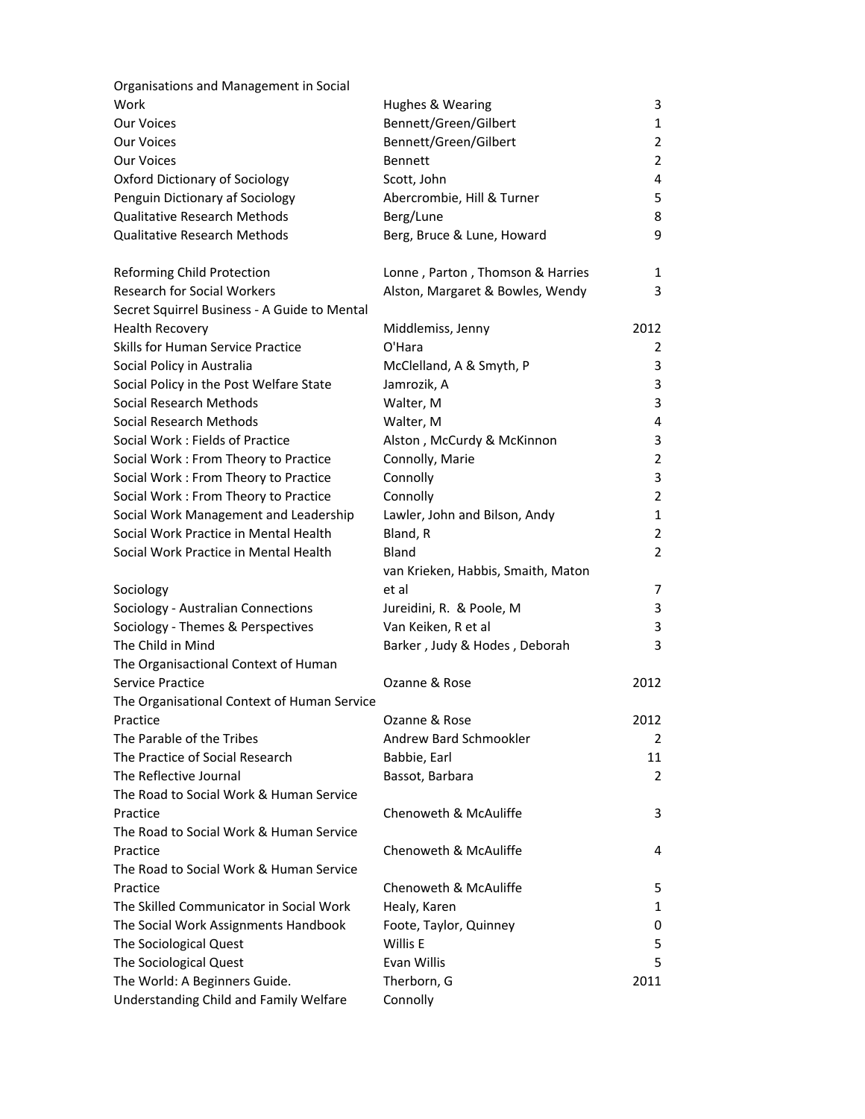| Organisations and Management in Social       |                                    |                |
|----------------------------------------------|------------------------------------|----------------|
| Work                                         | Hughes & Wearing                   | 3              |
| Our Voices                                   | Bennett/Green/Gilbert              | 1              |
| <b>Our Voices</b>                            | Bennett/Green/Gilbert              | 2              |
| <b>Our Voices</b>                            | <b>Bennett</b>                     | $\overline{2}$ |
| Oxford Dictionary of Sociology               | Scott, John                        | 4              |
| Penguin Dictionary af Sociology              | Abercrombie, Hill & Turner         | 5              |
| <b>Qualitative Research Methods</b>          | Berg/Lune                          | 8              |
| <b>Qualitative Research Methods</b>          | Berg, Bruce & Lune, Howard         | 9              |
| Reforming Child Protection                   | Lonne, Parton, Thomson & Harries   | 1              |
| <b>Research for Social Workers</b>           | Alston, Margaret & Bowles, Wendy   | 3              |
| Secret Squirrel Business - A Guide to Mental |                                    |                |
| <b>Health Recovery</b>                       | Middlemiss, Jenny                  | 2012           |
| <b>Skills for Human Service Practice</b>     | O'Hara                             | 2              |
| Social Policy in Australia                   | McClelland, A & Smyth, P           | 3              |
| Social Policy in the Post Welfare State      | Jamrozik, A                        | 3              |
| Social Research Methods                      | Walter, M                          | 3              |
| Social Research Methods                      | Walter, M                          | 4              |
| Social Work: Fields of Practice              | Alston, McCurdy & McKinnon         | 3              |
| Social Work: From Theory to Practice         | Connolly, Marie                    | $\overline{2}$ |
| Social Work: From Theory to Practice         | Connolly                           | 3              |
| Social Work: From Theory to Practice         | Connolly                           | $\overline{2}$ |
| Social Work Management and Leadership        | Lawler, John and Bilson, Andy      | 1              |
| Social Work Practice in Mental Health        | Bland, R                           | $\overline{2}$ |
| Social Work Practice in Mental Health        | Bland                              | $\overline{2}$ |
|                                              | van Krieken, Habbis, Smaith, Maton |                |
| Sociology                                    | et al                              | 7              |
| Sociology - Australian Connections           | Jureidini, R. & Poole, M           | 3              |
| Sociology - Themes & Perspectives            | Van Keiken, R et al                | 3              |
| The Child in Mind                            | Barker, Judy & Hodes, Deborah      | 3              |
| The Organisactional Context of Human         |                                    |                |
| Service Practice                             | Ozanne & Rose                      | 2012           |
| The Organisational Context of Human Service  |                                    |                |
| Practice                                     | Ozanne & Rose                      | 2012           |
| The Parable of the Tribes                    | Andrew Bard Schmookler             | 2              |
| The Practice of Social Research              | Babbie, Earl                       | 11             |
| The Reflective Journal                       | Bassot, Barbara                    | 2              |
| The Road to Social Work & Human Service      |                                    |                |
| Practice                                     | Chenoweth & McAuliffe              | 3              |
| The Road to Social Work & Human Service      |                                    |                |
| Practice                                     | Chenoweth & McAuliffe              | 4              |
| The Road to Social Work & Human Service      |                                    |                |
| Practice                                     | Chenoweth & McAuliffe              | 5              |
| The Skilled Communicator in Social Work      | Healy, Karen                       | 1              |
| The Social Work Assignments Handbook         | Foote, Taylor, Quinney             | 0              |
| The Sociological Quest                       | Willis E                           | 5              |
| The Sociological Quest                       | Evan Willis                        | 5              |
| The World: A Beginners Guide.                | Therborn, G                        | 2011           |
| Understanding Child and Family Welfare       | Connolly                           |                |
|                                              |                                    |                |